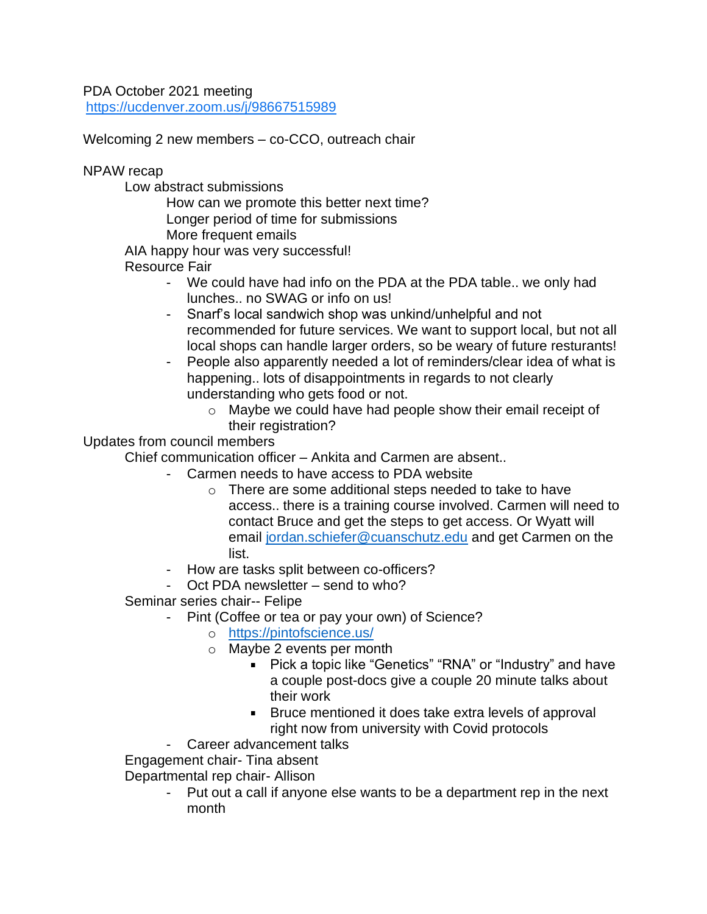PDA October 2021 meeting <https://ucdenver.zoom.us/j/98667515989>

Welcoming 2 new members – co-CCO, outreach chair

NPAW recap

Low abstract submissions

How can we promote this better next time? Longer period of time for submissions More frequent emails

AIA happy hour was very successful!

Resource Fair

- We could have had info on the PDA at the PDA table.. we only had lunches.. no SWAG or info on us!
- Snarf's local sandwich shop was unkind/unhelpful and not recommended for future services. We want to support local, but not all local shops can handle larger orders, so be weary of future resturants!
- People also apparently needed a lot of reminders/clear idea of what is happening.. lots of disappointments in regards to not clearly understanding who gets food or not.
	- o Maybe we could have had people show their email receipt of their registration?

Updates from council members

Chief communication officer – Ankita and Carmen are absent..

- Carmen needs to have access to PDA website
	- o There are some additional steps needed to take to have access.. there is a training course involved. Carmen will need to contact Bruce and get the steps to get access. Or Wyatt will email [jordan.schiefer@cuanschutz.edu](mailto:jordan.schiefer@cuanschutz.edu) and get Carmen on the list.
- How are tasks split between co-officers?
- $-$  Oct PDA newsletter  $-$  send to who?

Seminar series chair-- Felipe

- Pint (Coffee or tea or pay your own) of Science?
	- o <https://pintofscience.us/>
	- o Maybe 2 events per month
		- Pick a topic like "Genetics" "RNA" or "Industry" and have a couple post-docs give a couple 20 minute talks about their work
		- **Bruce mentioned it does take extra levels of approval** right now from university with Covid protocols
- Career advancement talks

Engagement chair- Tina absent

Departmental rep chair- Allison

Put out a call if anyone else wants to be a department rep in the next month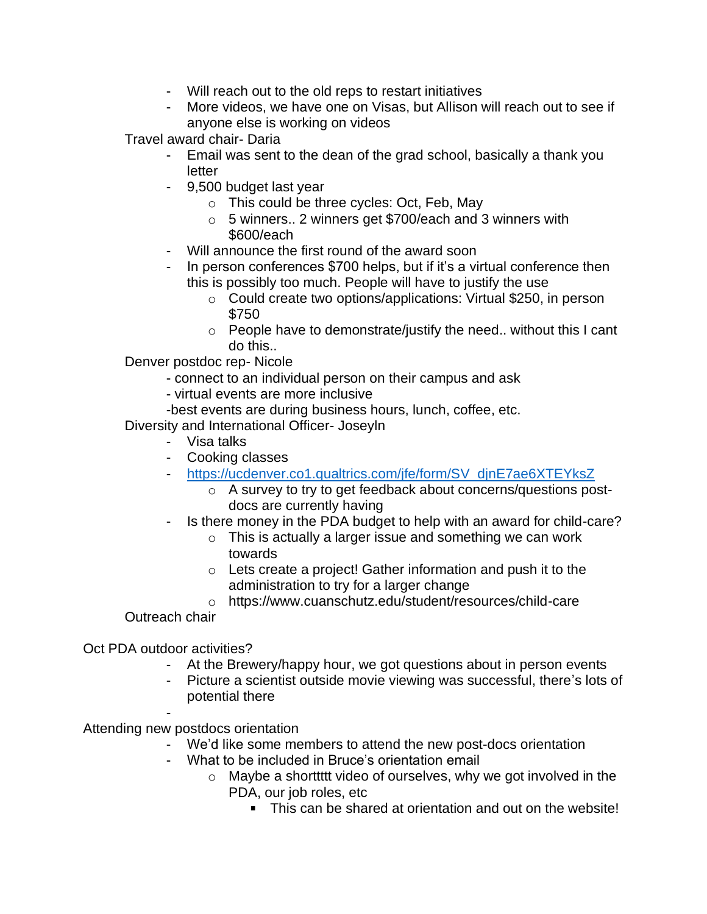- Will reach out to the old reps to restart initiatives
- More videos, we have one on Visas, but Allison will reach out to see if anyone else is working on videos

Travel award chair- Daria

- Email was sent to the dean of the grad school, basically a thank you letter
- 9,500 budget last year
	- o This could be three cycles: Oct, Feb, May
	- o 5 winners.. 2 winners get \$700/each and 3 winners with \$600/each
- Will announce the first round of the award soon
- In person conferences \$700 helps, but if it's a virtual conference then this is possibly too much. People will have to justify the use
	- o Could create two options/applications: Virtual \$250, in person \$750
	- o People have to demonstrate/justify the need.. without this I cant do this..

Denver postdoc rep- Nicole

- connect to an individual person on their campus and ask
- virtual events are more inclusive
- -best events are during business hours, lunch, coffee, etc.

Diversity and International Officer- Joseyln

- Visa talks
- Cooking classes
- [https://ucdenver.co1.qualtrics.com/jfe/form/SV\\_djnE7ae6XTEYksZ](https://ucdenver.co1.qualtrics.com/jfe/form/SV_djnE7ae6XTEYksZ)
	- o A survey to try to get feedback about concerns/questions postdocs are currently having
- Is there money in the PDA budget to help with an award for child-care?
	- o This is actually a larger issue and something we can work towards
	- $\circ$  Lets create a project! Gather information and push it to the administration to try for a larger change
	- o https://www.cuanschutz.edu/student/resources/child-care

Outreach chair

Oct PDA outdoor activities?

- At the Brewery/happy hour, we got questions about in person events
- Picture a scientist outside movie viewing was successful, there's lots of potential there

- Attending new postdocs orientation

- We'd like some members to attend the new post-docs orientation
- What to be included in Bruce's orientation email
	- $\circ$  Maybe a shorttitt video of ourselves, why we got involved in the PDA, our job roles, etc
		- This can be shared at orientation and out on the website!